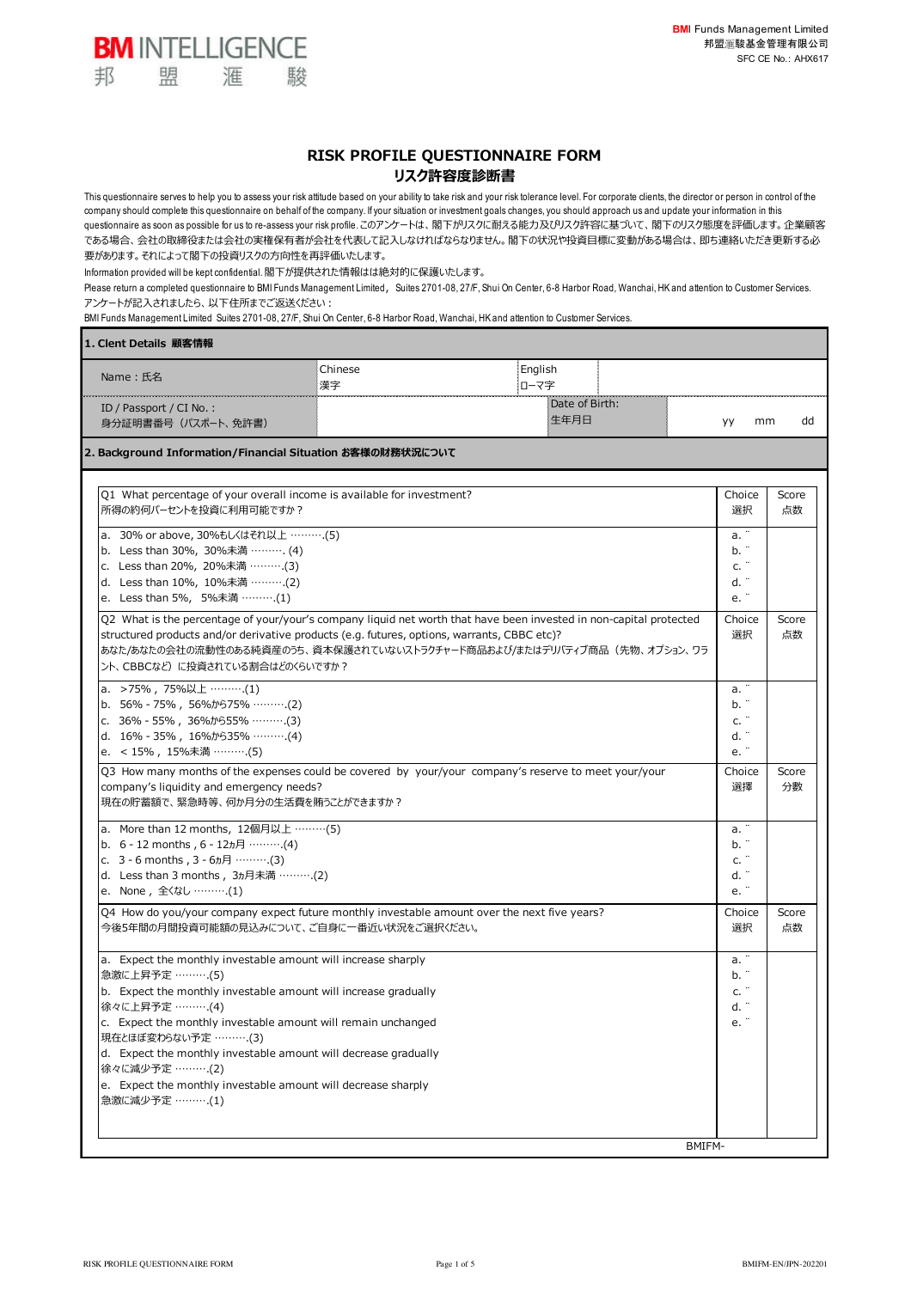

This questionnaire serves to help you to assess your risk attitude based on your ability to take risk and your risk tolerance level. For corporate clients, the director or person in control of the company should complete this questionnaire on behalf of the company. If your situation or investment goals changes, you should approach us and update your information in this questionnaire as soon as possible for us to re-assess your risk profile. このアンケートは、閣下がリスクに耐える能力及びリスク許容に基づいて、閣下のリスク態度を評価します。企業顧客 である場合、会社の取締役または会社の実権保有者が会社を代表して記入しなければならなりません。閣下の状況や投資目標に変動がある場合は、即ち連絡いただき更新する必 要があります。それによって閣下の投資リスクの⽅向性を再評価いたします。

Information provided will be kept confidential. 閣下が提供された情報はは絶対的に保護いたします。

駿

**BM INTELLIGENCE** 

滙

盟

邦

Please return a completed questionnaire to BMI Funds Management Limited, Suites 2701-08, 27/F, Shui On Center, 6-8 Harbor Road, Wanchai, HK and attention to Customer Services. アンケートが記入されましたら、以下住所までご返送ください:

BMI Funds Management Limited Suites 2701-08, 27/F, Shui On Center, 6-8 Harbor Road, Wanchai, HK and attention to Customer Services.

| 1. Clent Details 顧客情報                                                                                                                                                                                                                                                                                                          |               |                 |                        |        |                                             |             |
|--------------------------------------------------------------------------------------------------------------------------------------------------------------------------------------------------------------------------------------------------------------------------------------------------------------------------------|---------------|-----------------|------------------------|--------|---------------------------------------------|-------------|
| Name:氏名                                                                                                                                                                                                                                                                                                                        | Chinese<br>漢字 | English<br>ローマ字 |                        |        |                                             |             |
| ID / Passport / $CI$ No.:<br>身分証明書番号 (パスポート、免許書)                                                                                                                                                                                                                                                                               |               |                 | Date of Birth:<br>生年月日 |        | mm<br>уу                                    | dd          |
| 2. Background Information/Financial Situation お客様の財務状況について                                                                                                                                                                                                                                                                     |               |                 |                        |        |                                             |             |
| Q1 What percentage of your overall income is available for investment?<br>所得の約何パーセントを投資に利用可能ですか?                                                                                                                                                                                                                               |               |                 |                        |        | Choice<br>選択                                | Score<br>点数 |
| a. 30% or above, 30%もしくはそれ以上 ……….(5)<br>b. Less than 30%, 30%未満 ………. (4)<br>c. Less than 20%, 20%未満 ……… (3)<br>d. Less than 10%, 10%未満 ……….(2)<br>e. Less than 5%, 5%未満 ……….(1)                                                                                                                                                |               |                 |                        |        | a. ¨<br>b.<br>c.<br>d. ¨<br>e.              |             |
| Q2 What is the percentage of your/your's company liquid net worth that have been invested in non-capital protected<br>structured products and/or derivative products (e.g. futures, options, warrants, CBBC etc)?<br>あなた/あなたの会社の流動性のある純資産のうち、資本保護されていないストラクチャード商品および/またはデリバティブ商品(先物、オプション、ワラ<br>ント、CBBCなど)に投資されている割合はどのくらいですか? |               |                 |                        |        | Choice<br>選択                                | Score<br>点数 |
| a. >75%, 75%以上 ……….(1)<br>b. $56\%$ - 75%, 56% $\frac{1}{2}$ 59% (2)<br>c. 36% - 55%, 36% b555% ·········.(3)<br>d. $16\% - 35\%$ , $16\%$ <i>t</i> $935\%$ (4)<br>e. < 15% , 15%未満 ……….(5)                                                                                                                                    |               |                 |                        |        | a. "<br>b. ¨<br>c.<br>d. ¨<br>e.            |             |
| Q3 How many months of the expenses could be covered by your/your company's reserve to meet your/your<br>company's liquidity and emergency needs?<br>現在の貯蓄額で、緊急時等、何か月分の生活費を賄うことができますか?                                                                                                                                          |               |                 |                        |        | Choice<br>選擇                                | Score<br>分數 |
| a. More than 12 months, 12個月以上 ………(5)<br>b. 6 - 12 months, 6 - 12t月 ……….(4)<br>c. $3 - 6$ months, $3 - 6$ $\pi$ 月 ………(3)<br>d. Less than 3 months, 3ヵ月未満 ……….(2)<br>e. None, 全くなし ……….(1)                                                                                                                                      |               |                 |                        |        | a. <sup>-</sup><br>b.<br>c.<br>d. ¨<br>e. 1 |             |
| Q4 How do you/your company expect future monthly investable amount over the next five years?<br>今後5年間の月間投資可能額の見込みについて、ご自身に一番近い状況をご選択ください。                                                                                                                                                                                      |               |                 |                        |        | Choice<br>選択                                | Score<br>点数 |
| a. Expect the monthly investable amount will increase sharply<br>急激に上昇予定 ……….(5)<br>b. Expect the monthly investable amount will increase gradually<br>徐々に上昇予定 ……….(4)<br>c. Expect the monthly investable amount will remain unchanged                                                                                        |               |                 |                        |        | a.<br>b. ¨<br>c.<br>d. <sup>.</sup>         |             |
| 現在とほぼ変わらない予定 ……….(3)<br>d. Expect the monthly investable amount will decrease gradually<br>徐々に減少予定 ……… (2)<br>e. Expect the monthly investable amount will decrease sharply<br>急激に減少予定 ……….(1)                                                                                                                                 |               |                 |                        |        |                                             |             |
|                                                                                                                                                                                                                                                                                                                                |               |                 |                        | BMIFM- |                                             |             |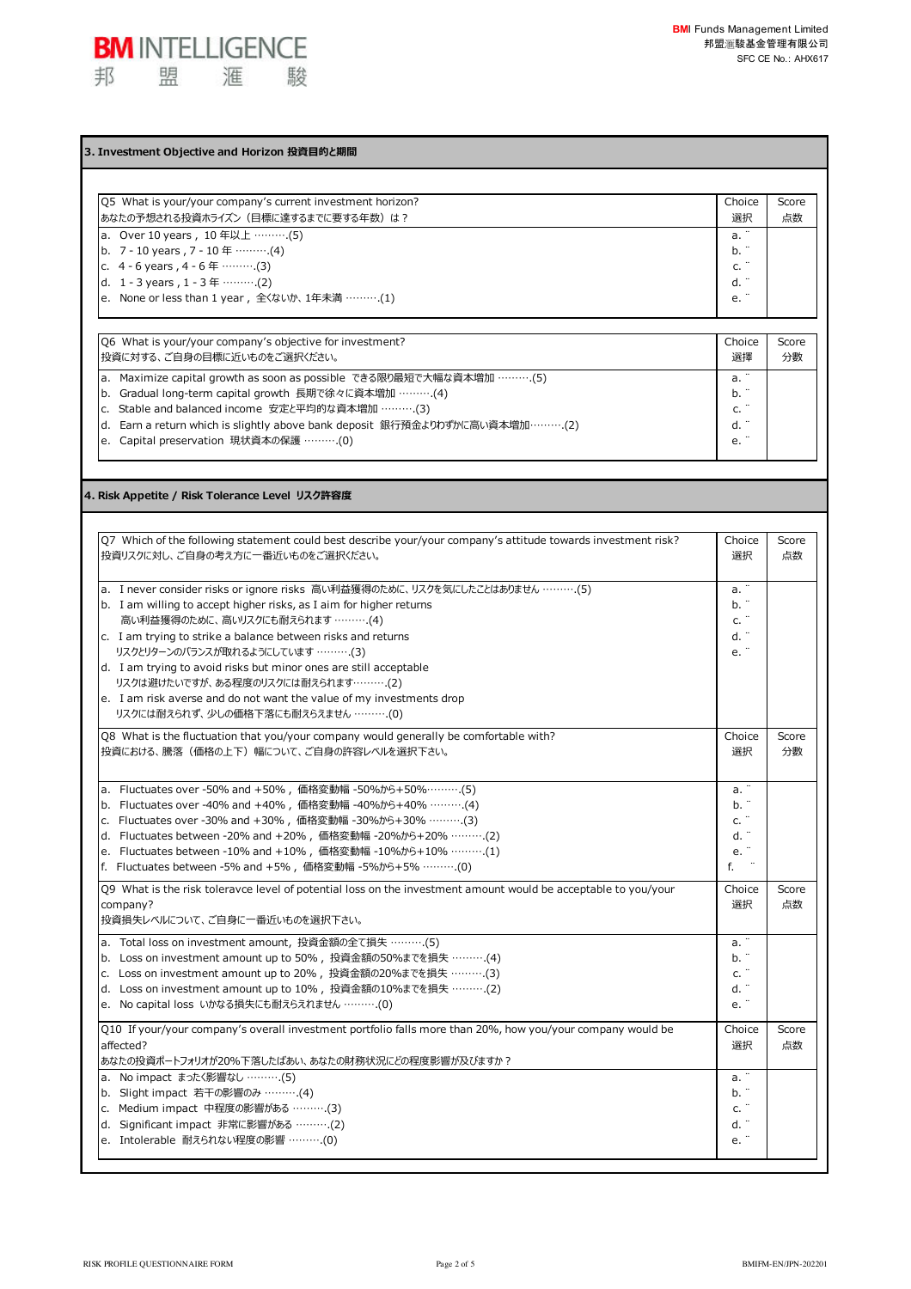

## **3. Investment Objective and Horizon 投資⽬的と期間**

| O5 What is your/your company's current investment horizon?                                                                                                                                                    | Choice                         | Score |
|---------------------------------------------------------------------------------------------------------------------------------------------------------------------------------------------------------------|--------------------------------|-------|
| あなたの予想される投資ホライズン(目標に達するまでに要する年数)は?                                                                                                                                                                            | 選択                             | 点数    |
| a. Over 10 years, 10 年以上 ……….(5)<br>b. 7 - 10 years, 7 - 10 年 ……….(4)<br>c. $4 - 6$ years, $4 - 6$ $\mp$ (3)<br>d. 1 - 3 years , 1 - 3 $\text{#}\dots$ (2)<br>e. None or less than 1 year, 全〈ないか、1年未満 ……….(1) | a.<br>b. "<br>c.<br>d. "<br>e. |       |

| O6 What is your/your company's objective for investment?                                                                                                                                                                                                                                                           | Choice                                    | Score |
|--------------------------------------------------------------------------------------------------------------------------------------------------------------------------------------------------------------------------------------------------------------------------------------------------------------------|-------------------------------------------|-------|
| 投資に対する、ご自身の目標に近いものをご選択ください。                                                                                                                                                                                                                                                                                        | 選擇                                        | 分數    |
| a. Maximize capital growth as soon as possible できる限り最短で大幅な資本増加 ……….(5)<br>b. Gradual long-term capital growth 長期で徐々に資本増加 ………. (4)<br>c. Stable and balanced income 安定と平均的な資本増加 ……….(3)<br>d. Earn a return which is slightly above bank deposit 銀行預金よりわずかに高い資本増加………(2)<br>e. Capital preservation 現状資本の保護 ………. (0) | a.<br>b. "<br>$\cdot$<br>c.<br>d. ¨<br>e. |       |

**4. Risk Appetite / Risk Tolerance Level リスク許容度**

| Q7 Which of the following statement could best describe your/your company's attitude towards investment risk?<br>投資リスクに対し、ご自身の考え方に一番近いものをご選択ください。 | Choice<br>選択 | Score<br>点数 |
|---------------------------------------------------------------------------------------------------------------------------------------------------|--------------|-------------|
|                                                                                                                                                   |              |             |
| a. I never consider risks or ignore risks 高い利益獲得のために、リスクを気にしたことはありません ……….(5)                                                                     | a. "         |             |
| b. I am willing to accept higher risks, as I aim for higher returns                                                                               | b. "         |             |
| 高い利益獲得のために、高いリスクにも耐えられます ……….(4)                                                                                                                  | c.           |             |
| c. I am trying to strike a balance between risks and returns                                                                                      | d. "         |             |
| リスクとリターンのバランスが取れるようにしています ……….(3)                                                                                                                 | e. "         |             |
| d. I am trying to avoid risks but minor ones are still acceptable                                                                                 |              |             |
| リスクは避けたいですが、ある程度のリスクには耐えられます……….(2)                                                                                                               |              |             |
| e. I am risk averse and do not want the value of my investments drop                                                                              |              |             |
| リスクには耐えられず、少しの価格下落にも耐えらえません ……….(0)                                                                                                               |              |             |
| Q8 What is the fluctuation that you/your company would generally be comfortable with?                                                             | Choice       | Score       |
| 投資における、騰落(価格の上下)幅について、ご自身の許容レベルを選択下さい。                                                                                                            | 選択           | 分數          |
|                                                                                                                                                   |              |             |
| a. Fluctuates over -50% and +50%, 価格変動幅 -50%から+50%……….(5)                                                                                         | a. ¨         |             |
| b. Fluctuates over -40% and +40%, 価格変動幅 -40%から+40% ………. (4)                                                                                       | b.           |             |
| c. Fluctuates over -30% and +30%, 価格変動幅 -30%から+30% ………. (3)                                                                                       | c. "         |             |
| d. Fluctuates between -20% and +20%, 価格変動幅 -20%から+20% ……….(2)                                                                                     | d. "         |             |
| e. Fluctuates between -10% and +10%, 価格変動幅 -10%から+10% ……….(1)                                                                                     | e.           |             |
| f. Fluctuates between -5% and +5%, 価格変動幅 -5%から+5% ………. (0)                                                                                        | f.           |             |
| Q9 What is the risk toleravce level of potential loss on the investment amount would be acceptable to you/your                                    | Choice       | Score       |
| company?                                                                                                                                          | 選択           | 点数          |
| 投資損失レベルについて、ご自身に一番近いものを選択下さい。                                                                                                                     |              |             |
| a. Total loss on investment amount, 投資金額の全て損失 ………. (5)                                                                                            | a. "         |             |
| b. Loss on investment amount up to 50%, 投資金額の50%までを損失 ……….(4)                                                                                     | b. "         |             |
| c. Loss on investment amount up to 20%, 投資金額の20%までを損失 ……….(3)                                                                                     | c. "         |             |
| d. Loss on investment amount up to 10%, 投資金額の10%までを損失 ……….(2)                                                                                     | d. "         |             |
| e. No capital loss いかなる損失にも耐えらえれません ………. (0)                                                                                                      | $\rm e.$ "   |             |
| Q10 If your/your company's overall investment portfolio falls more than 20%, how you/your company would be                                        | Choice       | Score       |
| affected?                                                                                                                                         | 選択           | 点数          |
| あなたの投資ポートフォリオが20%下落したばあい、あなたの財務状況にどの程度影響が及びますか?                                                                                                   |              |             |
| a. No impact まったく影響なし ……….(5)                                                                                                                     | a. "         |             |
| b. Slight impact 若干の影響のみ ……… (4)                                                                                                                  | b. ¨         |             |
| c. Medium impact 中程度の影響がある ………. (3)                                                                                                               | c. "         |             |
| d. Significant impact 非常に影響がある ……….(2)                                                                                                            | d.           |             |
| e. Intolerable 耐えられない程度の影響 ………. (0)                                                                                                               | e. "         |             |
|                                                                                                                                                   |              |             |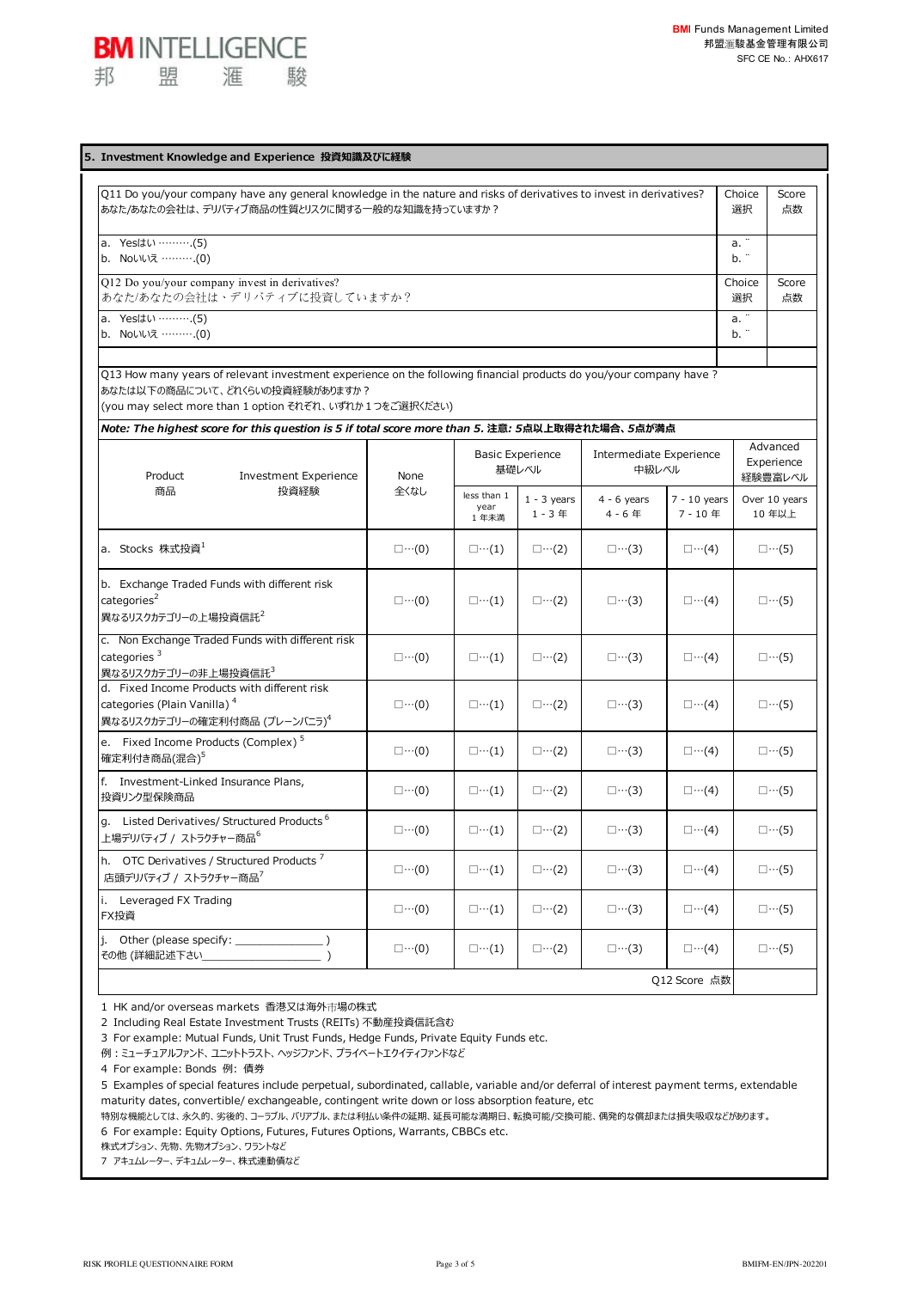

| Q11 Do you/your company have any general knowledge in the nature and risks of derivatives to invest in derivatives?<br>あなた/あなたの会社は、デリバティブ商品の性質とリスクに関する一般的な知識を持っていますか?                                            |                      |                             |                                  |                                  |                         | Choice<br>選択 | Score<br>点数                       |
|------------------------------------------------------------------------------------------------------------------------------------------------------------------------------------------------------------------|----------------------|-----------------------------|----------------------------------|----------------------------------|-------------------------|--------------|-----------------------------------|
| a. Yesはい ……….(5)<br>b. Noいいえ ……….(0)                                                                                                                                                                             |                      |                             |                                  |                                  |                         | a. "<br>b. " |                                   |
| Q12 Do you/your company invest in derivatives?<br>あなた/あなたの会社は、デリバティブに投資していますか?                                                                                                                                   |                      |                             |                                  |                                  |                         | Choice<br>選択 | Score<br>点数                       |
| a. Yes(t\) (5)<br>b. Noいいえ ……….(0)                                                                                                                                                                               |                      |                             |                                  |                                  |                         | a. "<br>b. " |                                   |
| Q13 How many years of relevant investment experience on the following financial products do you/your company have?<br>あなたは以下の商品について、どれくらいの投資経験がありますか?<br>(you may select more than 1 option それぞれ、いずれか1つをご選択ください) |                      |                             |                                  |                                  |                         |              |                                   |
| Note: The highest score for this question is 5 if total score more than 5. 注意: 5点以上取得された場合、5点が満点<br>Product<br><b>Investment Experience</b>                                                                      | None                 |                             | <b>Basic Experience</b><br>基礎レベル | Intermediate Experience<br>中級レベル |                         |              | Advanced<br>Experience<br>経験豊富レベル |
| 商品<br>投資経験                                                                                                                                                                                                       | 全くなし                 | less than 1<br>year<br>1年未満 | $1 - 3$ years<br>$1 - 3$ 年       | $4 - 6$ years<br>$4 - 6$ 年       | $7 - 10$ years<br>7-10年 |              | Over 10 years<br>10年以上            |
| a. Stocks 株式投資 <sup>1</sup>                                                                                                                                                                                      | $\square \cdots (0)$ | $\square \cdots (1)$        | $\square \cdots (2)$             | $\square \cdots (3)$             | $\square \cdots (4)$    |              | $\square \cdots (5)$              |
| b. Exchange Traded Funds with different risk<br>categories <sup>2</sup><br>異なるリスクカテゴリーの上場投資信託 <sup>2</sup>                                                                                                       | $\square \cdots (0)$ | $\square \cdots (1)$        | $\square \cdots (2)$             | $\square \cdots (3)$             | $\Box \cdots (4)$       |              | $\square \cdots (5)$              |
| c. Non Exchange Traded Funds with different risk<br>categories <sup>3</sup><br>異なるリスクカテゴリーの非上場投資信託 $3$                                                                                                           | $\square \cdots (0)$ | $\square \cdots (1)$        | $\square \cdots (2)$             | $\square \cdots (3)$             | $\square \cdots (4)$    |              | $\square \cdots (5)$              |
| d. Fixed Income Products with different risk<br>categories (Plain Vanilla) <sup>4</sup><br>異なるリスクカテゴリーの確定利付商品 (プレーンバニラ) <sup>4</sup>                                                                             | $\square \cdots (0)$ | $\square \cdots (1)$        | $\square \cdots (2)$             | $\square \cdots (3)$             | $\Box \cdots (4)$       |              | $\square \cdots (5)$              |
| e. Fixed Income Products (Complex) <sup>5</sup><br>確定利付き商品(混合) <sup>5</sup>                                                                                                                                      | $\square \cdots (0)$ | $\square \cdots (1)$        | $\square \cdots (2)$             | $\square \cdots (3)$             | $\Box \cdots (4)$       |              | $\square \cdots (5)$              |
| f. Investment-Linked Insurance Plans,<br>投資リンク型保険商品                                                                                                                                                              | $\square \cdots (0)$ | $\square \cdots (1)$        | $\square \cdots (2)$             | $\square \cdots (3)$             | $\square \cdots (4)$    |              | $\square \cdots (5)$              |
| g. Listed Derivatives/ Structured Products <sup>6</sup><br>上場デリバティブ / ストラクチャー商品 $^6$                                                                                                                             | $\square \cdots (0)$ | $\square \cdots (1)$        | $\square \cdots (2)$             | $\square \cdots (3)$             | $\square \cdots (4)$    |              | $\square \cdots (5)$              |
| h. OTC Derivatives / Structured Products <sup>7</sup><br>店頭デリバティブ / ストラクチャー商品 <sup>7</sup>                                                                                                                       | $\square \cdots (0)$ | $\square \cdots (1)$        | $\square \cdots (2)$             | $\square \cdots (3)$             | $\square \cdots (4)$    |              | $\square \cdots (5)$              |
| i. Leveraged FX Trading<br>FX投資                                                                                                                                                                                  | $\square \cdots (0)$ | $\square \cdots (1)$        | $\square \cdots (2)$             | $\square \cdots (3)$             | $\Box \cdots (4)$       |              | $\square \cdots (5)$              |
| Other (please specify:<br>j.<br>その他 (詳細記述下さい_                                                                                                                                                                    | $\square \cdots (0)$ | $\square \cdots (1)$        | $\square \cdots (2)$             | $\square \cdots (3)$             | $\square \cdots (4)$    |              | $\square \cdots (5)$              |

1 HK and/or overseas markets 香港又は海外市場の株式

2 Including Real Estate Investment Trusts (REITs) 不動産投資信託含む

3 For example: Mutual Funds, Unit Trust Funds, Hedge Funds, Private Equity Funds etc.

例: ミューチュアルファンド、ユニットトラスト、ヘッジファンド、プライベートエクイティファンドなど

4 For example: Bonds 例: 債券

5 Examples of special features include perpetual, subordinated, callable, variable and/or deferral of interest payment terms, extendable maturity dates, convertible/ exchangeable, contingent write down or loss absorption feature, etc

特別な機能としては、永久的、劣後的、コーラブル、バリアブル、または利払い条件の延期、延長可能な満期日、転換可能/交換可能、偶発的な償却または損失吸収などがあります。 6 For example: Equity Options, Futures, Futures Options, Warrants, CBBCs etc.

株式オプション、先物、先物オプション、ワラントなど

7 アキュムレーター、デキュムレーター、株式連動債など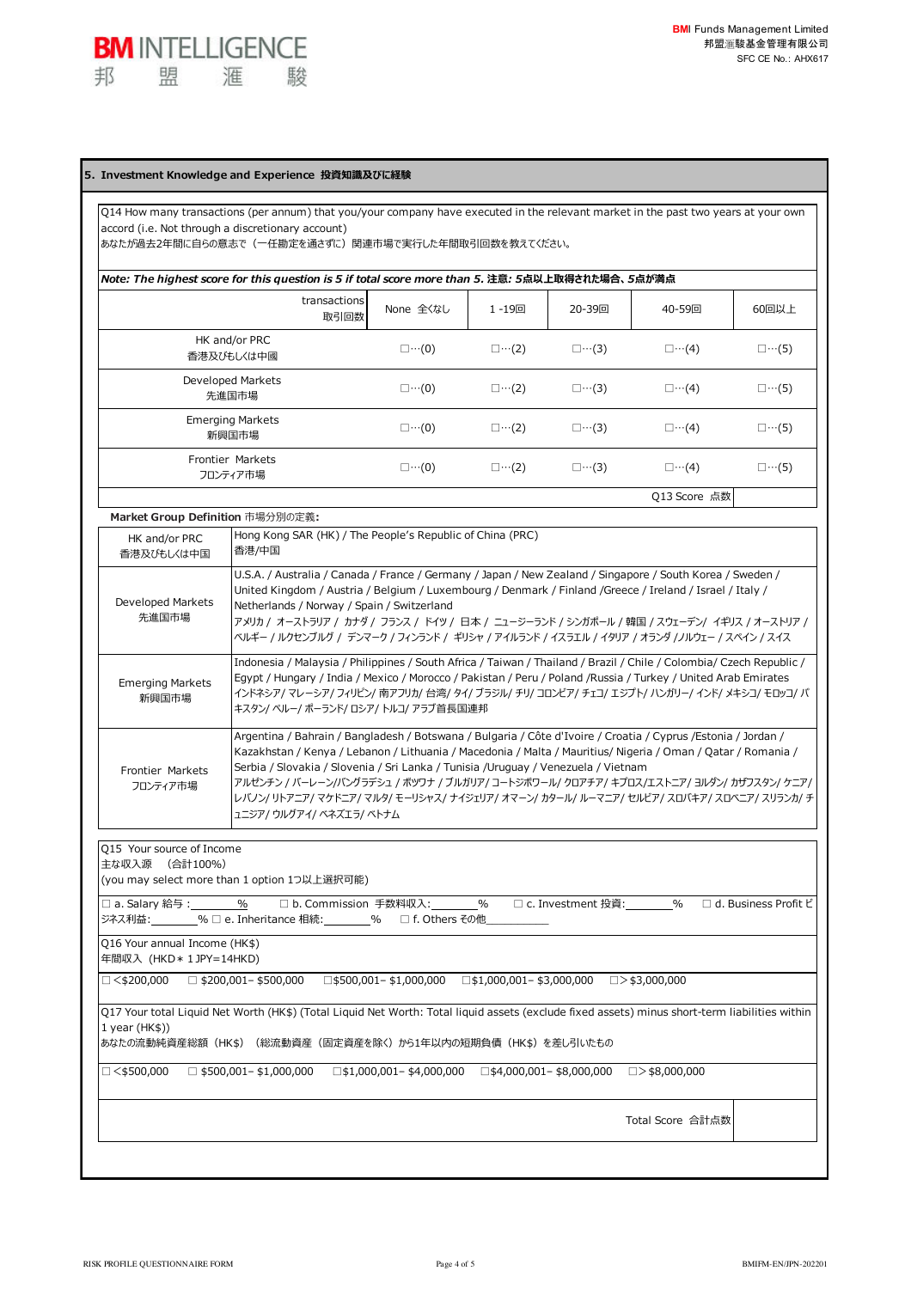## **5. Investment Knowledge and Experience 投資知識及びに経験**

**BM INTELLIGENCE** 

滙

駿

盟

邦

Q14 How many transactions (per annum) that you/your company have executed in the relevant market in the past two years at your own accord (i.e. Not through a discretionary account)

あなたが過去2年間に⾃らの意志で(⼀任勘定を通さずに)関連市場で実⾏した年間取引回数を教えてください。

| Note: The highest score for this question is 5 if total score more than 5. 注意: 5点以上取得された場合、5点が満点 |                      |                      |                      |                      |                   |                      |  |  |
|--------------------------------------------------------------------------------------------------|----------------------|----------------------|----------------------|----------------------|-------------------|----------------------|--|--|
|                                                                                                  | transactions<br>取引回数 | None 全くなし            | 1 -19回               | 20-39回               | 40-59回            | 60回以上                |  |  |
| HK and/or PRC<br>香港及びもしくは中國                                                                      |                      | $\square \cdots (0)$ | $\square \cdots (2)$ | $\square \cdots (3)$ | $\Box \cdots (4)$ | $\square \cdots (5)$ |  |  |
| Developed Markets<br>先進国市場                                                                       |                      | $\square \cdots (0)$ | $\square \cdots (2)$ | $\square \cdots (3)$ | $\Box \cdots (4)$ | $\square \cdots (5)$ |  |  |
| <b>Emerging Markets</b><br>英氏图片 士担                                                               |                      | $\square \cdots (0)$ | □…(2)                | $\square \cdots (3)$ | ⊡…(4)             | □…(5)                |  |  |

| かけきどう                        |                   |                   |                   |                   |                   |
|------------------------------|-------------------|-------------------|-------------------|-------------------|-------------------|
| Frontier Markets<br>フロンティア市場 | $\Box \cdots (0)$ | $\Box \cdots (2)$ | $\Box \cdots (3)$ | $\Box \cdots (4)$ | $\Box \cdots (5)$ |
|                              |                   |                   |                   | Q13 Score 点数      |                   |

## **Market Group Definition** 市場分別の定義**:**

| HK and/or PRC<br>香港及びもしくは中国      | Hong Kong SAR (HK) / The People's Republic of China (PRC)<br>香港/中国                                                                                                                                                                                                                                                                                                                                                                                                                                                                       |
|----------------------------------|------------------------------------------------------------------------------------------------------------------------------------------------------------------------------------------------------------------------------------------------------------------------------------------------------------------------------------------------------------------------------------------------------------------------------------------------------------------------------------------------------------------------------------------|
| Developed Markets<br>先進国市場       | U.S.A. / Australia / Canada / France / Germany / Japan / New Zealand / Singapore / South Korea / Sweden /<br>United Kingdom / Austria / Belgium / Luxembourg / Denmark / Finland / Greece / Ireland / Israel / Italy /<br>Netherlands / Norway / Spain / Switzerland<br>アメリカ / オーストラリア / カナダ / フランス / ドイツ / 日本 / ニュージーランド / シンガポール / 韓国 / スウェーデン/ イギリス / オーストリア /<br>ベルギー / ルクセンブルグ / デンマーク / フィンランド / ギリシャ / アイルランド / イスラエル / イタリア / オランダ /ノルウェー / スペイン / スイス                                                                           |
| <b>Emerging Markets</b><br>新興国市場 | Indonesia / Malaysia / Philippines / South Africa / Taiwan / Thailand / Brazil / Chile / Colombia/ Czech Republic /<br>Egypt / Hungary / India / Mexico / Morocco / Pakistan / Peru / Poland / Russia / Turkey / United Arab Emirates<br>インドネシア/ マレーシア/ フィリピン/ 南アフリカ/ 台湾/ タイ/ ブラジル/ チリ/ コロンビア/ チェコ/ エジプト/ ハンガリー/ インド/ メキシコ/ モロッコ/ パ<br>キスタン/ ペルー/ ポーランド/ ロシア/ トルコ/ アラブ首長国連邦                                                                                                                                                              |
| Frontier Markets<br>フロンティア市場     | Argentina / Bahrain / Bangladesh / Botswana / Bulgaria / Côte d'Ivoire / Croatia / Cyprus / Estonia / Jordan /<br>Kazakhstan / Kenya / Lebanon / Lithuania / Macedonia / Malta / Mauritius/ Nigeria / Oman / Qatar / Romania /<br>Serbia / Slovakia / Slovenia / Sri Lanka / Tunisia / Uruguay / Venezuela / Vietnam<br>アルゼンチン / バーレーン/バングラデシュ / ボツワナ / ブルガリア/ コートジボワール/ クロアチア/ キプロス/エストニア/ ヨルダン/ カザフスタン/ ケニア/  <br>レバノン/ リトアニア/ マケドニア/ マルタ/ モーリシャス/ ナイジェリア/ オマーン/ カタール/ ルーマニア/ セルビア/ スロバキア/ スロベニア/ スリランカ/ チ<br>ュニジア/ ウルグアイ/ ベネズエラ/ ベトナム |

Q15 Your source of Income 主な収⼊源 (合計100%)

(you may select more than 1 option 1つ以上選択可能)

□ a. Salary 給与 : 1992 % 回b. Commission 手数料収入: 1992 % 回c. Investment 投資: 1992 % 回d. Business Profit ビ ジネス利益: %□ e. Inheritance 相続:  $\blacksquare$  % □ f. Others その他

Q16 Your annual Income (HK\$) 年間収⼊ (HKD\*1JPY=14HKD)

 $\Box \leq \leq 200,000 \quad \Box \leq 200,001 - \frac{1}{2}500,000 \quad \Box \leq 500,001 - \frac{1}{2}1,000,000 \quad \Box \leq 1,000,001 - \frac{1}{2}3,000,000 \quad \Box > \frac{1}{2}3,000,000$ 

Q17 Your total Liquid Net Worth (HK\$) (Total Liquid Net Worth: Total liquid assets (exclude fixed assets) minus short-term liabilities within 1 year (HK\$))

あなたの流動純資産総額(HK\$)(総流動資産(固定資産を除く)から1年以内の短期負債(HK\$)を差し引いたもの

 $\Box$ <\$500,000  $\Box$ \$500,001-\$1,000,000  $\Box$ \$1,000,001-\$4,000,000  $\Box$ \$4,000,000  $\Box$ >\$8,000,000

Total Score 合計点数